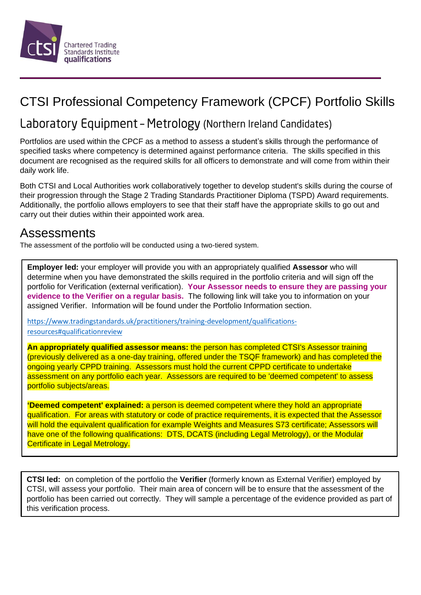

# CTSI Professional Competency Framework (CPCF) Portfolio Skills

# Laboratory Equipment - Metrology (Northern Ireland Candidates)

Portfolios are used within the CPCF as a method to assess a student's skills through the performance of specified tasks where competency is determined against performance criteria. The skills specified in this document are recognised as the required skills for all officers to demonstrate and will come from within their daily work life.

Both CTSI and Local Authorities work collaboratively together to develop student's skills during the course of their progression through the Stage 2 Trading Standards Practitioner Diploma (TSPD) Award requirements. Additionally, the portfolio allows employers to see that their staff have the appropriate skills to go out and carry out their duties within their appointed work area.

## Assessments

The assessment of the portfolio will be conducted using a two-tiered system.

**Employer led:** your employer will provide you with an appropriately qualified **Assessor** who will determine when you have demonstrated the skills required in the portfolio criteria and will sign off the portfolio for Verification (external verification). **Your Assessor needs to ensure they are passing your evidence to the Verifier on a regular basis.** The following link will take you to information on your assigned Verifier. Information will be found under the Portfolio Information section.

[https://www.tradingstandards.uk/practitioners/training-development/qualifications](https://www.tradingstandards.uk/practitioners/training-development/qualifications-resources#qualificationreview)[resources#qualificationreview](https://www.tradingstandards.uk/practitioners/training-development/qualifications-resources#qualificationreview)

**An appropriately qualified assessor means:** the person has completed CTSI's Assessor training (previously delivered as a one-day training, offered under the TSQF framework) and has completed the ongoing yearly CPPD training. Assessors must hold the current CPPD certificate to undertake assessment on any portfolio each year. Assessors are required to be 'deemed competent' to assess portfolio subjects/areas.

**'Deemed competent' explained:** a person is deemed competent where they hold an appropriate qualification. For areas with statutory or code of practice requirements, it is expected that the Assessor will hold the equivalent qualification for example Weights and Measures S73 certificate; Assessors will have one of the following qualifications: DTS, DCATS (including Legal Metrology), or the Modular Certificate in Legal Metrology.

**CTSI led:** on completion of the portfolio the **Verifier** (formerly known as External Verifier) employed by CTSI, will assess your portfolio. Their main area of concern will be to ensure that the assessment of the portfolio has been carried out correctly. They will sample a percentage of the evidence provided as part of this verification process.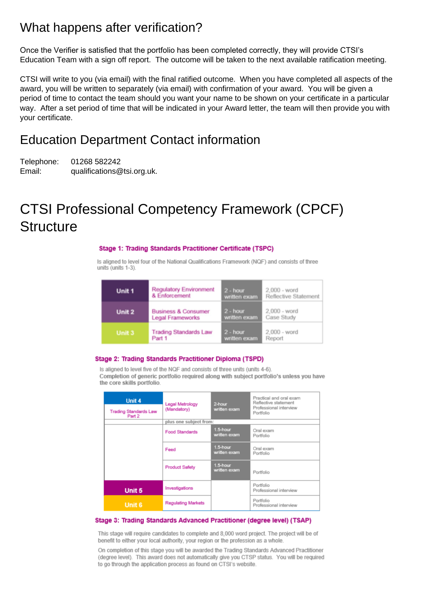## What happens after verification?

Once the Verifier is satisfied that the portfolio has been completed correctly, they will provide CTSI's Education Team with a sign off report. The outcome will be taken to the next available ratification meeting.

CTSI will write to you (via email) with the final ratified outcome. When you have completed all aspects of the award, you will be written to separately (via email) with confirmation of your award. You will be given a period of time to contact the team should you want your name to be shown on your certificate in a particular way. After a set period of time that will be indicated in your Award letter, the team will then provide you with your certificate.

### Education Department Contact information

Telephone: 01268 582242 Email: qualifications@tsi.org.uk.

# CTSI Professional Competency Framework (CPCF) **Structure**

#### Stage 1: Trading Standards Practitioner Certificate (TSPC)

Is aligned to level four of the National Qualifications Framework (NQF) and consists of three units (units 1-3).

| Unit 1 | <b>Regulatory Environment</b>  | $2 - hour$   | $2,000 - word$              |
|--------|--------------------------------|--------------|-----------------------------|
|        | & Enforcement                  | written exam | <b>Reflective Statement</b> |
| Unit 2 | <b>Business &amp; Consumer</b> | $2 - hour$   | $2.000 - word$              |
|        | <b>Legal Frameworks</b>        | written exam | Case Study                  |
| Unit 3 | <b>Trading Standards Law</b>   | $2 - hour$   | 2,000 - word                |
|        | Part 1                         | written exam | Report                      |

#### Stage 2: Trading Standards Practitioner Diploma (TSPD)

Is aligned to level five of the NQF and consists of three units (units 4-6). Completion of generic portfolio required along with subject portfolio's unless you have the core skills portfolio.

| Unit 4<br><b>Trading Standards Law</b><br>Part 2 | Legal Metrology<br>(Mandatory) | 2-hour<br>written exam   | Practical and oral exam<br>Reflective statement<br>Professional interview<br>Portfolio |  |
|--------------------------------------------------|--------------------------------|--------------------------|----------------------------------------------------------------------------------------|--|
|                                                  | plus one subject from:         |                          |                                                                                        |  |
|                                                  | <b>Food Standards</b>          | 1.5-hour<br>written exam | Oral exam<br>Portfolio                                                                 |  |
|                                                  | Feed                           | 1.5-hour<br>written exam | Oral exam<br>Portfolio                                                                 |  |
|                                                  | <b>Product Safety</b>          | 1.5-hour<br>written exam | Portfolio                                                                              |  |
| Unit 5                                           | Investigations                 |                          | Portfolio<br>Professional interview                                                    |  |
| <b>Unit 6</b>                                    | <b>Regulating Markets</b>      |                          | Portfolio<br>Professional interview                                                    |  |

#### Stage 3: Trading Standards Advanced Practitioner (degree level) (TSAP)

This stage will require candidates to complete and 8,000 word project. The project will be of benefit to either your local authority, your region or the profession as a whole.

On completion of this stage you will be awarded the Trading Standards Advanced Practitioner (degree level). This award does not automatically give you CTSP status. You will be required to go through the application process as found on CTSI's website.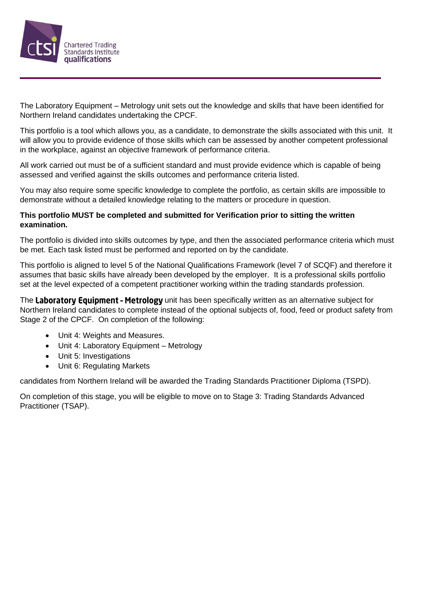

The Laboratory Equipment – Metrology unit sets out the knowledge and skills that have been identified for Northern Ireland candidates undertaking the CPCF.

This portfolio is a tool which allows you, as a candidate, to demonstrate the skills associated with this unit. It will allow you to provide evidence of those skills which can be assessed by another competent professional in the workplace, against an objective framework of performance criteria.

All work carried out must be of a sufficient standard and must provide evidence which is capable of being assessed and verified against the skills outcomes and performance criteria listed.

You may also require some specific knowledge to complete the portfolio, as certain skills are impossible to demonstrate without a detailed knowledge relating to the matters or procedure in question.

### **This portfolio MUST be completed and submitted for Verification prior to sitting the written examination.**

The portfolio is divided into skills outcomes by type, and then the associated performance criteria which must be met. Each task listed must be performed and reported on by the candidate.

This portfolio is aligned to level 5 of the National Qualifications Framework (level 7 of SCQF) and therefore it assumes that basic skills have already been developed by the employer. It is a professional skills portfolio set at the level expected of a competent practitioner working within the trading standards profession.

The Laboratory Equipment - Metrology unit has been specifically written as an alternative subject for Northern Ireland candidates to complete instead of the optional subjects of, food, feed or product safety from Stage 2 of the CPCF. On completion of the following:

- Unit 4: Weights and Measures.
- Unit 4: Laboratory Equipment Metrology
- Unit 5: Investigations
- Unit 6: Regulating Markets

candidates from Northern Ireland will be awarded the Trading Standards Practitioner Diploma (TSPD).

On completion of this stage, you will be eligible to move on to Stage 3: Trading Standards Advanced Practitioner (TSAP).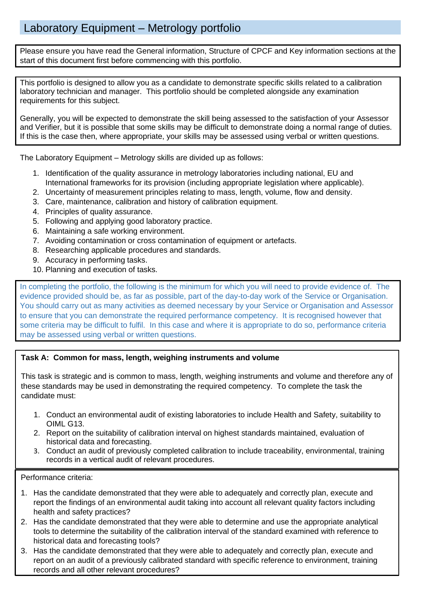### Laboratory Equipment – Metrology portfolio

Please ensure you have read the General information, Structure of CPCF and Key information sections at the start of this document first before commencing with this portfolio.

This portfolio is designed to allow you as a candidate to demonstrate specific skills related to a calibration laboratory technician and manager. This portfolio should be completed alongside any examination requirements for this subject.

Generally, you will be expected to demonstrate the skill being assessed to the satisfaction of your Assessor and Verifier, but it is possible that some skills may be difficult to demonstrate doing a normal range of duties. If this is the case then, where appropriate, your skills may be assessed using verbal or written questions.

The Laboratory Equipment – Metrology skills are divided up as follows:

- 1. Identification of the quality assurance in metrology laboratories including national, EU and International frameworks for its provision (including appropriate legislation where applicable).
- 2. Uncertainty of measurement principles relating to mass, length, volume, flow and density.
- 3. Care, maintenance, calibration and history of calibration equipment.
- 4. Principles of quality assurance.
- 5. Following and applying good laboratory practice.
- 6. Maintaining a safe working environment.
- 7. Avoiding contamination or cross contamination of equipment or artefacts.
- 8. Researching applicable procedures and standards.
- 9. Accuracy in performing tasks.
- 10. Planning and execution of tasks.

In completing the portfolio, the following is the minimum for which you will need to provide evidence of. The evidence provided should be, as far as possible, part of the day-to-day work of the Service or Organisation. You should carry out as many activities as deemed necessary by your Service or Organisation and Assessor to ensure that you can demonstrate the required performance competency. It is recognised however that some criteria may be difficult to fulfil. In this case and where it is appropriate to do so, performance criteria may be assessed using verbal or written questions.

### **Task A: Common for mass, length, weighing instruments and volume**

This task is strategic and is common to mass, length, weighing instruments and volume and therefore any of these standards may be used in demonstrating the required competency. To complete the task the candidate must:

- 1. Conduct an environmental audit of existing laboratories to include Health and Safety, suitability to OIML G13.
- 2. Report on the suitability of calibration interval on highest standards maintained, evaluation of historical data and forecasting.
- 3. Conduct an audit of previously completed calibration to include traceability, environmental, training records in a vertical audit of relevant procedures.

Performance criteria:

- 1. Has the candidate demonstrated that they were able to adequately and correctly plan, execute and report the findings of an environmental audit taking into account all relevant quality factors including health and safety practices?
- 2. Has the candidate demonstrated that they were able to determine and use the appropriate analytical tools to determine the suitability of the calibration interval of the standard examined with reference to historical data and forecasting tools?
- 3. Has the candidate demonstrated that they were able to adequately and correctly plan, execute and report on an audit of a previously calibrated standard with specific reference to environment, training records and all other relevant procedures?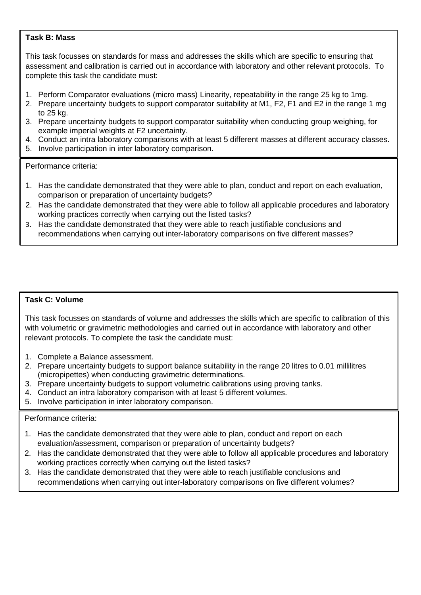### **Task B: Mass**

This task focusses on standards for mass and addresses the skills which are specific to ensuring that assessment and calibration is carried out in accordance with laboratory and other relevant protocols. To complete this task the candidate must:

- 1. Perform Comparator evaluations (micro mass) Linearity, repeatability in the range 25 kg to 1mg.
- 2. Prepare uncertainty budgets to support comparator suitability at M1, F2, F1 and E2 in the range 1 mg to 25 kg.
- 3. Prepare uncertainty budgets to support comparator suitability when conducting group weighing, for example imperial weights at F2 uncertainty.
- 4. Conduct an intra laboratory comparisons with at least 5 different masses at different accuracy classes.
- 5. Involve participation in inter laboratory comparison.

Performance criteria:

- 1. Has the candidate demonstrated that they were able to plan, conduct and report on each evaluation, comparison or preparation of uncertainty budgets?
- 2. Has the candidate demonstrated that they were able to follow all applicable procedures and laboratory working practices correctly when carrying out the listed tasks?
- 3. Has the candidate demonstrated that they were able to reach justifiable conclusions and recommendations when carrying out inter-laboratory comparisons on five different masses?

### **Task C: Volume**

This task focusses on standards of volume and addresses the skills which are specific to calibration of this with volumetric or gravimetric methodologies and carried out in accordance with laboratory and other relevant protocols. To complete the task the candidate must:

- 1. Complete a Balance assessment.
- 2. Prepare uncertainty budgets to support balance suitability in the range 20 litres to 0.01 millilitres (micropipettes) when conducting gravimetric determinations.
- 3. Prepare uncertainty budgets to support volumetric calibrations using proving tanks.
- 4. Conduct an intra laboratory comparison with at least 5 different volumes.
- 5. Involve participation in inter laboratory comparison.

### Performance criteria:

- 1. Has the candidate demonstrated that they were able to plan, conduct and report on each evaluation/assessment, comparison or preparation of uncertainty budgets?
- 2. Has the candidate demonstrated that they were able to follow all applicable procedures and laboratory working practices correctly when carrying out the listed tasks?
- 3. Has the candidate demonstrated that they were able to reach justifiable conclusions and recommendations when carrying out inter-laboratory comparisons on five different volumes?